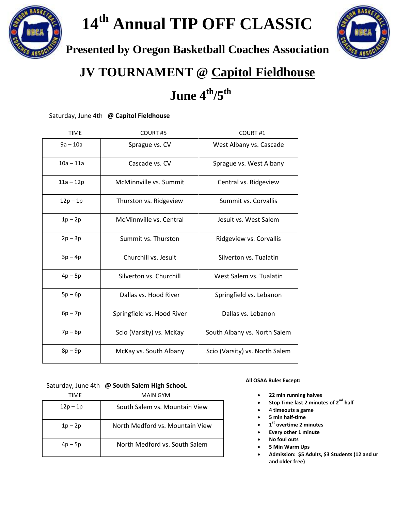

# **14th Annual TIP OFF CLASSIC**



**Presented by Oregon Basketball Coaches Association**

### **JV TOURNAMENT @ Capitol Fieldhouse**

## **June 4 th/5th**

#### Saturday, June 4th **@ Capitol Fieldhouse**

| <b>TIME</b> | COURT#5                    | COURT#1                        |
|-------------|----------------------------|--------------------------------|
| $9a - 10a$  | Sprague vs. CV             | West Albany vs. Cascade        |
| $10a - 11a$ | Cascade vs. CV             | Sprague vs. West Albany        |
| $11a - 12p$ | McMinnville vs. Summit     | Central vs. Ridgeview          |
| $12p - 1p$  | Thurston vs. Ridgeview     | Summit vs. Corvallis           |
| $1p-2p$     | McMinnville vs. Central    | Jesuit vs. West Salem          |
| $2p - 3p$   | Summit vs. Thurston        | Ridgeview vs. Corvallis        |
| $3p-4p$     | Churchill vs. Jesuit       | Silverton vs. Tualatin         |
| $4p - 5p$   | Silverton vs. Churchill    | West Salem vs. Tualatin        |
| $5p - 6p$   | Dallas vs. Hood River      | Springfield vs. Lebanon        |
| $6p - 7p$   | Springfield vs. Hood River | Dallas vs. Lebanon             |
| $7p - 8p$   | Scio (Varsity) vs. McKay   | South Albany vs. North Salem   |
| $8p - 9p$   | McKay vs. South Albany     | Scio (Varsity) vs. North Salem |

#### Saturday, June 4th **@ South Salem High SchooL**

| TIMF      | MAIN GYM                        |
|-----------|---------------------------------|
| $12p-1p$  | South Salem vs. Mountain View   |
| $1p - 2p$ | North Medford vs. Mountain View |
| $4p - 5p$ | North Medford vs. South Salem   |

#### **All OSAA Rules Except:**

- **22 min running halves**
- **Stop Time last 2 minutes of 2nd half**
- **4 timeouts a game**
- **5 min half-time**
- **1 st overtime 2 minutes**
- **Every other 1 minute**
- **No foul outs**
- **5 Min Warm Ups**
- Admission: \$5 Adults, \$3 Students (12 and ur **and older free)**